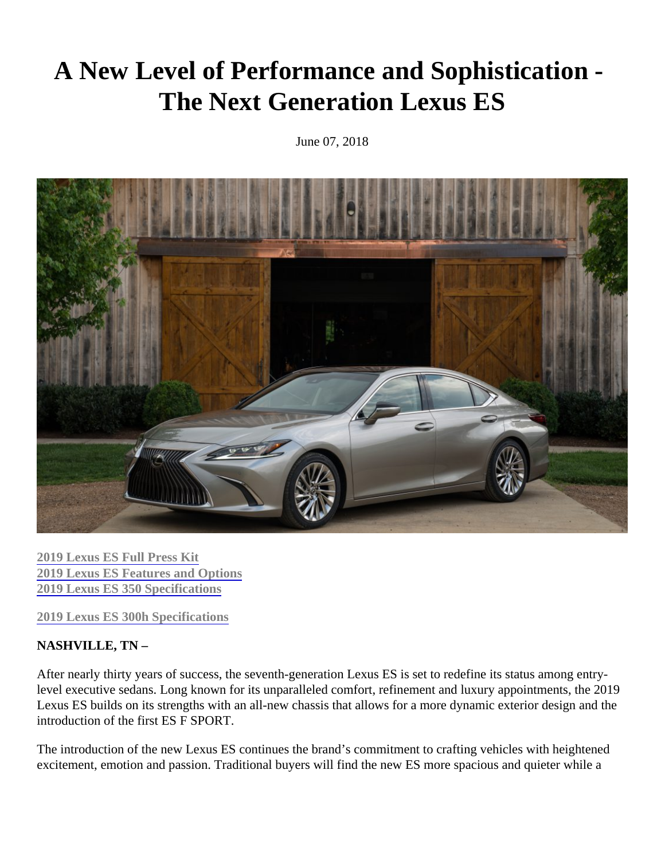# A New Level of Performance and Sophistication - The Next Generation Lexus ES

June 07, 2018

[2019 Lexus ES Full Press K](http://www.pressroom.lexus.com/lexus/es350/releases/2019+lexus+es+full+press+kit.htm)it [2019 Lexus ES Features and Option](http://www.pressroom.lexus.com/releases/2019+lexus+es+features+options.htm)s [2019 Lexus ES 350 Specification](http://www.pressroom.lexus.com/releases/2019+lexus+es+350+specs.htm)s

[2019 Lexus ES 300h Specification](http://www.pressroom.lexus.com/releases/2019+lexus+es+300h+product+info+sheet.htm)s

#### NASHVILLE, TN –

After nearly thirty years of success, the seventh-generation Lexus ES is set to redefine its status among entrylevel executive sedans. Long known for its unparalleled comfort, refinement and luxury appointments, the 2019 Lexus ES builds on its strengths with an all-new chassis that allows for a more dynamic exterior design and th introduction of the first ES F SPORT.

The introduction of the new Lexus ES continues the brand's commitment to crafting vehicles with heightened excitement, emotion and passion. Traditional buyers will find the new ES more spacious and quieter while a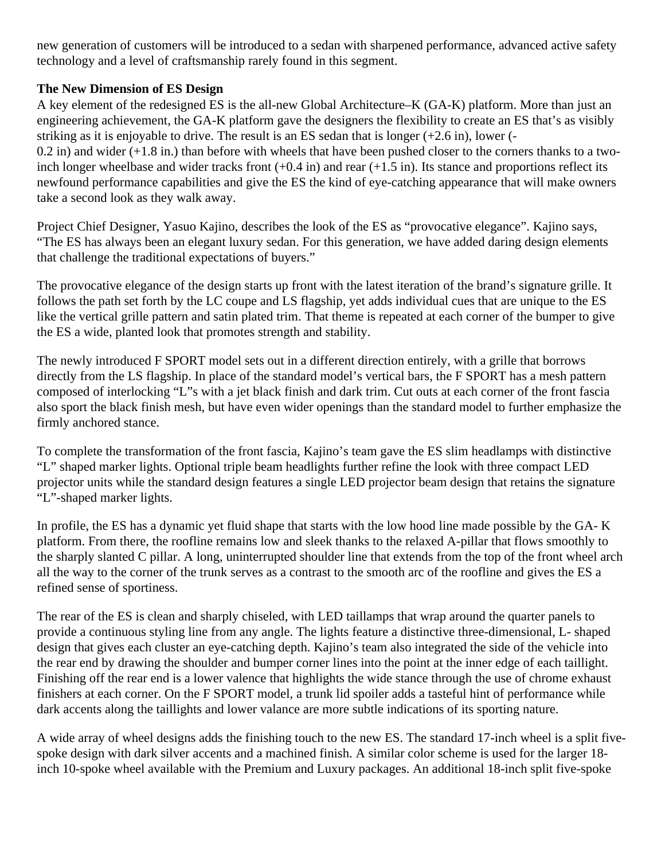new generation of customers will be introduced to a sedan with sharpened performance, advanced active safety technology and a level of craftsmanship rarely found in this segment.

## **The New Dimension of ES Design**

A key element of the redesigned ES is the all-new Global Architecture–K (GA-K) platform. More than just an engineering achievement, the GA-K platform gave the designers the flexibility to create an ES that's as visibly striking as it is enjoyable to drive. The result is an ES sedan that is longer (+2.6 in), lower (-

 $0.2$  in) and wider  $(+1.8$  in.) than before with wheels that have been pushed closer to the corners thanks to a twoinch longer wheelbase and wider tracks front  $(+0.4 \text{ in})$  and rear  $(+1.5 \text{ in})$ . Its stance and proportions reflect its newfound performance capabilities and give the ES the kind of eye-catching appearance that will make owners take a second look as they walk away.

Project Chief Designer, Yasuo Kajino, describes the look of the ES as "provocative elegance". Kajino says, "The ES has always been an elegant luxury sedan. For this generation, we have added daring design elements that challenge the traditional expectations of buyers."

The provocative elegance of the design starts up front with the latest iteration of the brand's signature grille. It follows the path set forth by the LC coupe and LS flagship, yet adds individual cues that are unique to the ES like the vertical grille pattern and satin plated trim. That theme is repeated at each corner of the bumper to give the ES a wide, planted look that promotes strength and stability.

The newly introduced F SPORT model sets out in a different direction entirely, with a grille that borrows directly from the LS flagship. In place of the standard model's vertical bars, the F SPORT has a mesh pattern composed of interlocking "L"s with a jet black finish and dark trim. Cut outs at each corner of the front fascia also sport the black finish mesh, but have even wider openings than the standard model to further emphasize the firmly anchored stance.

To complete the transformation of the front fascia, Kajino's team gave the ES slim headlamps with distinctive "L" shaped marker lights. Optional triple beam headlights further refine the look with three compact LED projector units while the standard design features a single LED projector beam design that retains the signature "L"-shaped marker lights.

In profile, the ES has a dynamic yet fluid shape that starts with the low hood line made possible by the GA- K platform. From there, the roofline remains low and sleek thanks to the relaxed A-pillar that flows smoothly to the sharply slanted C pillar. A long, uninterrupted shoulder line that extends from the top of the front wheel arch all the way to the corner of the trunk serves as a contrast to the smooth arc of the roofline and gives the ES a refined sense of sportiness.

The rear of the ES is clean and sharply chiseled, with LED taillamps that wrap around the quarter panels to provide a continuous styling line from any angle. The lights feature a distinctive three-dimensional, L- shaped design that gives each cluster an eye-catching depth. Kajino's team also integrated the side of the vehicle into the rear end by drawing the shoulder and bumper corner lines into the point at the inner edge of each taillight. Finishing off the rear end is a lower valence that highlights the wide stance through the use of chrome exhaust finishers at each corner. On the F SPORT model, a trunk lid spoiler adds a tasteful hint of performance while dark accents along the taillights and lower valance are more subtle indications of its sporting nature.

A wide array of wheel designs adds the finishing touch to the new ES. The standard 17-inch wheel is a split fivespoke design with dark silver accents and a machined finish. A similar color scheme is used for the larger 18 inch 10-spoke wheel available with the Premium and Luxury packages. An additional 18-inch split five-spoke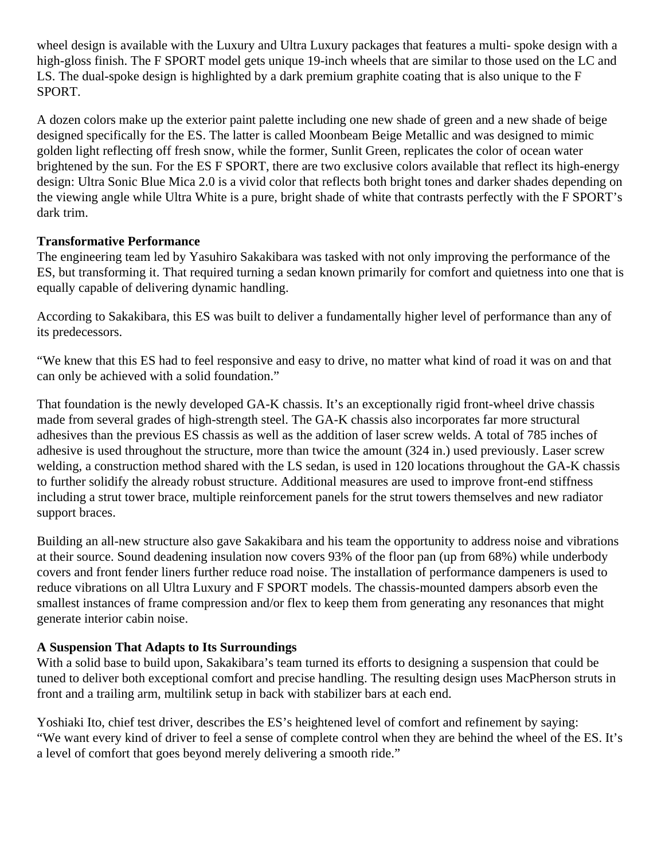wheel design is available with the Luxury and Ultra Luxury packages that features a multi- spoke design with a high-gloss finish. The F SPORT model gets unique 19-inch wheels that are similar to those used on the LC and LS. The dual-spoke design is highlighted by a dark premium graphite coating that is also unique to the F SPORT.

A dozen colors make up the exterior paint palette including one new shade of green and a new shade of beige designed specifically for the ES. The latter is called Moonbeam Beige Metallic and was designed to mimic golden light reflecting off fresh snow, while the former, Sunlit Green, replicates the color of ocean water brightened by the sun. For the ES F SPORT, there are two exclusive colors available that reflect its high-energy design: Ultra Sonic Blue Mica 2.0 is a vivid color that reflects both bright tones and darker shades depending on the viewing angle while Ultra White is a pure, bright shade of white that contrasts perfectly with the F SPORT's dark trim.

## **Transformative Performance**

The engineering team led by Yasuhiro Sakakibara was tasked with not only improving the performance of the ES, but transforming it. That required turning a sedan known primarily for comfort and quietness into one that is equally capable of delivering dynamic handling.

According to Sakakibara, this ES was built to deliver a fundamentally higher level of performance than any of its predecessors.

"We knew that this ES had to feel responsive and easy to drive, no matter what kind of road it was on and that can only be achieved with a solid foundation."

That foundation is the newly developed GA-K chassis. It's an exceptionally rigid front-wheel drive chassis made from several grades of high-strength steel. The GA-K chassis also incorporates far more structural adhesives than the previous ES chassis as well as the addition of laser screw welds. A total of 785 inches of adhesive is used throughout the structure, more than twice the amount (324 in.) used previously. Laser screw welding, a construction method shared with the LS sedan, is used in 120 locations throughout the GA-K chassis to further solidify the already robust structure. Additional measures are used to improve front-end stiffness including a strut tower brace, multiple reinforcement panels for the strut towers themselves and new radiator support braces.

Building an all-new structure also gave Sakakibara and his team the opportunity to address noise and vibrations at their source. Sound deadening insulation now covers 93% of the floor pan (up from 68%) while underbody covers and front fender liners further reduce road noise. The installation of performance dampeners is used to reduce vibrations on all Ultra Luxury and F SPORT models. The chassis-mounted dampers absorb even the smallest instances of frame compression and/or flex to keep them from generating any resonances that might generate interior cabin noise.

#### **A Suspension That Adapts to Its Surroundings**

With a solid base to build upon, Sakakibara's team turned its efforts to designing a suspension that could be tuned to deliver both exceptional comfort and precise handling. The resulting design uses MacPherson struts in front and a trailing arm, multilink setup in back with stabilizer bars at each end.

Yoshiaki Ito, chief test driver, describes the ES's heightened level of comfort and refinement by saying: "We want every kind of driver to feel a sense of complete control when they are behind the wheel of the ES. It's a level of comfort that goes beyond merely delivering a smooth ride."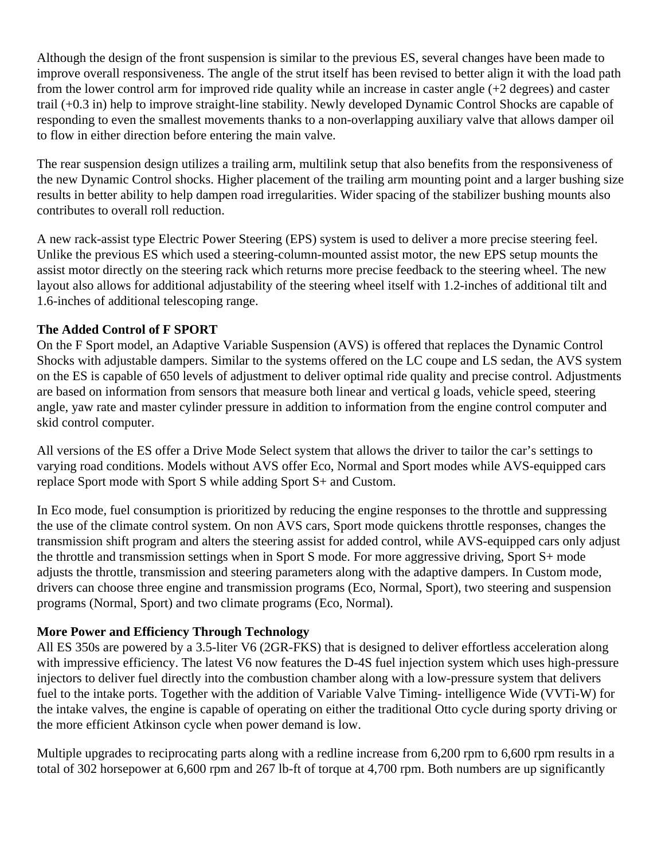Although the design of the front suspension is similar to the previous ES, several changes have been made to improve overall responsiveness. The angle of the strut itself has been revised to better align it with the load path from the lower control arm for improved ride quality while an increase in caster angle (+2 degrees) and caster trail (+0.3 in) help to improve straight-line stability. Newly developed Dynamic Control Shocks are capable of responding to even the smallest movements thanks to a non-overlapping auxiliary valve that allows damper oil to flow in either direction before entering the main valve.

The rear suspension design utilizes a trailing arm, multilink setup that also benefits from the responsiveness of the new Dynamic Control shocks. Higher placement of the trailing arm mounting point and a larger bushing size results in better ability to help dampen road irregularities. Wider spacing of the stabilizer bushing mounts also contributes to overall roll reduction.

A new rack-assist type Electric Power Steering (EPS) system is used to deliver a more precise steering feel. Unlike the previous ES which used a steering-column-mounted assist motor, the new EPS setup mounts the assist motor directly on the steering rack which returns more precise feedback to the steering wheel. The new layout also allows for additional adjustability of the steering wheel itself with 1.2-inches of additional tilt and 1.6-inches of additional telescoping range.

## **The Added Control of F SPORT**

On the F Sport model, an Adaptive Variable Suspension (AVS) is offered that replaces the Dynamic Control Shocks with adjustable dampers. Similar to the systems offered on the LC coupe and LS sedan, the AVS system on the ES is capable of 650 levels of adjustment to deliver optimal ride quality and precise control. Adjustments are based on information from sensors that measure both linear and vertical g loads, vehicle speed, steering angle, yaw rate and master cylinder pressure in addition to information from the engine control computer and skid control computer.

All versions of the ES offer a Drive Mode Select system that allows the driver to tailor the car's settings to varying road conditions. Models without AVS offer Eco, Normal and Sport modes while AVS-equipped cars replace Sport mode with Sport S while adding Sport S+ and Custom.

In Eco mode, fuel consumption is prioritized by reducing the engine responses to the throttle and suppressing the use of the climate control system. On non AVS cars, Sport mode quickens throttle responses, changes the transmission shift program and alters the steering assist for added control, while AVS-equipped cars only adjust the throttle and transmission settings when in Sport S mode. For more aggressive driving, Sport S+ mode adjusts the throttle, transmission and steering parameters along with the adaptive dampers. In Custom mode, drivers can choose three engine and transmission programs (Eco, Normal, Sport), two steering and suspension programs (Normal, Sport) and two climate programs (Eco, Normal).

# **More Power and Efficiency Through Technology**

All ES 350s are powered by a 3.5-liter V6 (2GR-FKS) that is designed to deliver effortless acceleration along with impressive efficiency. The latest V6 now features the D-4S fuel injection system which uses high-pressure injectors to deliver fuel directly into the combustion chamber along with a low-pressure system that delivers fuel to the intake ports. Together with the addition of Variable Valve Timing- intelligence Wide (VVTi-W) for the intake valves, the engine is capable of operating on either the traditional Otto cycle during sporty driving or the more efficient Atkinson cycle when power demand is low.

Multiple upgrades to reciprocating parts along with a redline increase from 6,200 rpm to 6,600 rpm results in a total of 302 horsepower at 6,600 rpm and 267 lb-ft of torque at 4,700 rpm. Both numbers are up significantly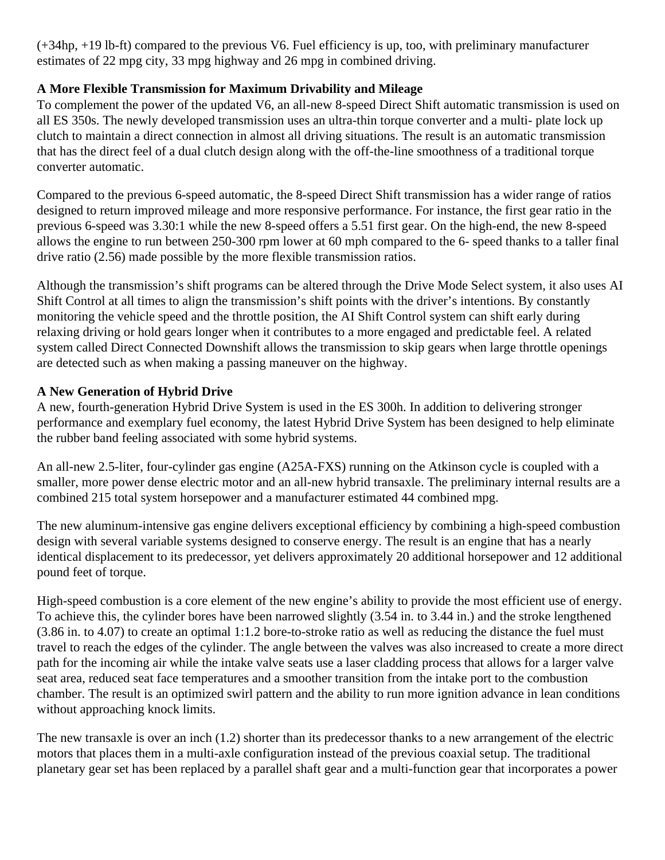(+34hp, +19 lb-ft) compared to the previous V6. Fuel efficiency is up, too, with preliminary manufacturer estimates of 22 mpg city, 33 mpg highway and 26 mpg in combined driving.

# **A More Flexible Transmission for Maximum Drivability and Mileage**

To complement the power of the updated V6, an all-new 8-speed Direct Shift automatic transmission is used on all ES 350s. The newly developed transmission uses an ultra-thin torque converter and a multi- plate lock up clutch to maintain a direct connection in almost all driving situations. The result is an automatic transmission that has the direct feel of a dual clutch design along with the off-the-line smoothness of a traditional torque converter automatic.

Compared to the previous 6-speed automatic, the 8-speed Direct Shift transmission has a wider range of ratios designed to return improved mileage and more responsive performance. For instance, the first gear ratio in the previous 6-speed was 3.30:1 while the new 8-speed offers a 5.51 first gear. On the high-end, the new 8-speed allows the engine to run between 250-300 rpm lower at 60 mph compared to the 6- speed thanks to a taller final drive ratio (2.56) made possible by the more flexible transmission ratios.

Although the transmission's shift programs can be altered through the Drive Mode Select system, it also uses AI Shift Control at all times to align the transmission's shift points with the driver's intentions. By constantly monitoring the vehicle speed and the throttle position, the AI Shift Control system can shift early during relaxing driving or hold gears longer when it contributes to a more engaged and predictable feel. A related system called Direct Connected Downshift allows the transmission to skip gears when large throttle openings are detected such as when making a passing maneuver on the highway.

# **A New Generation of Hybrid Drive**

A new, fourth-generation Hybrid Drive System is used in the ES 300h. In addition to delivering stronger performance and exemplary fuel economy, the latest Hybrid Drive System has been designed to help eliminate the rubber band feeling associated with some hybrid systems.

An all-new 2.5-liter, four-cylinder gas engine (A25A-FXS) running on the Atkinson cycle is coupled with a smaller, more power dense electric motor and an all-new hybrid transaxle. The preliminary internal results are a combined 215 total system horsepower and a manufacturer estimated 44 combined mpg.

The new aluminum-intensive gas engine delivers exceptional efficiency by combining a high-speed combustion design with several variable systems designed to conserve energy. The result is an engine that has a nearly identical displacement to its predecessor, yet delivers approximately 20 additional horsepower and 12 additional pound feet of torque.

High-speed combustion is a core element of the new engine's ability to provide the most efficient use of energy. To achieve this, the cylinder bores have been narrowed slightly (3.54 in. to 3.44 in.) and the stroke lengthened (3.86 in. to 4.07) to create an optimal 1:1.2 bore-to-stroke ratio as well as reducing the distance the fuel must travel to reach the edges of the cylinder. The angle between the valves was also increased to create a more direct path for the incoming air while the intake valve seats use a laser cladding process that allows for a larger valve seat area, reduced seat face temperatures and a smoother transition from the intake port to the combustion chamber. The result is an optimized swirl pattern and the ability to run more ignition advance in lean conditions without approaching knock limits.

The new transaxle is over an inch (1.2) shorter than its predecessor thanks to a new arrangement of the electric motors that places them in a multi-axle configuration instead of the previous coaxial setup. The traditional planetary gear set has been replaced by a parallel shaft gear and a multi-function gear that incorporates a power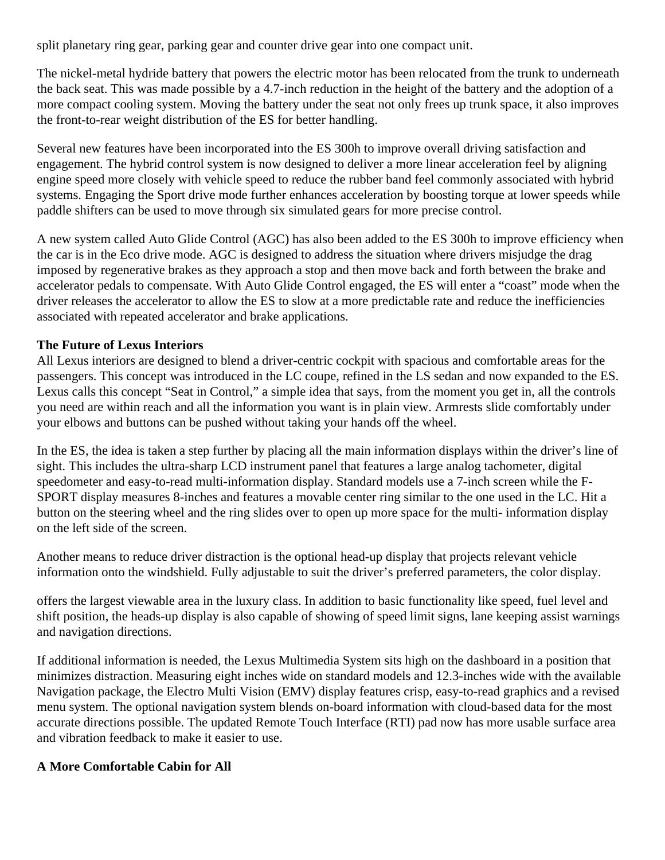split planetary ring gear, parking gear and counter drive gear into one compact unit.

The nickel-metal hydride battery that powers the electric motor has been relocated from the trunk to underneath the back seat. This was made possible by a 4.7-inch reduction in the height of the battery and the adoption of a more compact cooling system. Moving the battery under the seat not only frees up trunk space, it also improves the front-to-rear weight distribution of the ES for better handling.

Several new features have been incorporated into the ES 300h to improve overall driving satisfaction and engagement. The hybrid control system is now designed to deliver a more linear acceleration feel by aligning engine speed more closely with vehicle speed to reduce the rubber band feel commonly associated with hybrid systems. Engaging the Sport drive mode further enhances acceleration by boosting torque at lower speeds while paddle shifters can be used to move through six simulated gears for more precise control.

A new system called Auto Glide Control (AGC) has also been added to the ES 300h to improve efficiency when the car is in the Eco drive mode. AGC is designed to address the situation where drivers misjudge the drag imposed by regenerative brakes as they approach a stop and then move back and forth between the brake and accelerator pedals to compensate. With Auto Glide Control engaged, the ES will enter a "coast" mode when the driver releases the accelerator to allow the ES to slow at a more predictable rate and reduce the inefficiencies associated with repeated accelerator and brake applications.

## **The Future of Lexus Interiors**

All Lexus interiors are designed to blend a driver-centric cockpit with spacious and comfortable areas for the passengers. This concept was introduced in the LC coupe, refined in the LS sedan and now expanded to the ES. Lexus calls this concept "Seat in Control," a simple idea that says, from the moment you get in, all the controls you need are within reach and all the information you want is in plain view. Armrests slide comfortably under your elbows and buttons can be pushed without taking your hands off the wheel.

In the ES, the idea is taken a step further by placing all the main information displays within the driver's line of sight. This includes the ultra-sharp LCD instrument panel that features a large analog tachometer, digital speedometer and easy-to-read multi-information display. Standard models use a 7-inch screen while the F-SPORT display measures 8-inches and features a movable center ring similar to the one used in the LC. Hit a button on the steering wheel and the ring slides over to open up more space for the multi- information display on the left side of the screen.

Another means to reduce driver distraction is the optional head-up display that projects relevant vehicle information onto the windshield. Fully adjustable to suit the driver's preferred parameters, the color display.

offers the largest viewable area in the luxury class. In addition to basic functionality like speed, fuel level and shift position, the heads-up display is also capable of showing of speed limit signs, lane keeping assist warnings and navigation directions.

If additional information is needed, the Lexus Multimedia System sits high on the dashboard in a position that minimizes distraction. Measuring eight inches wide on standard models and 12.3-inches wide with the available Navigation package, the Electro Multi Vision (EMV) display features crisp, easy-to-read graphics and a revised menu system. The optional navigation system blends on-board information with cloud-based data for the most accurate directions possible. The updated Remote Touch Interface (RTI) pad now has more usable surface area and vibration feedback to make it easier to use.

#### **A More Comfortable Cabin for All**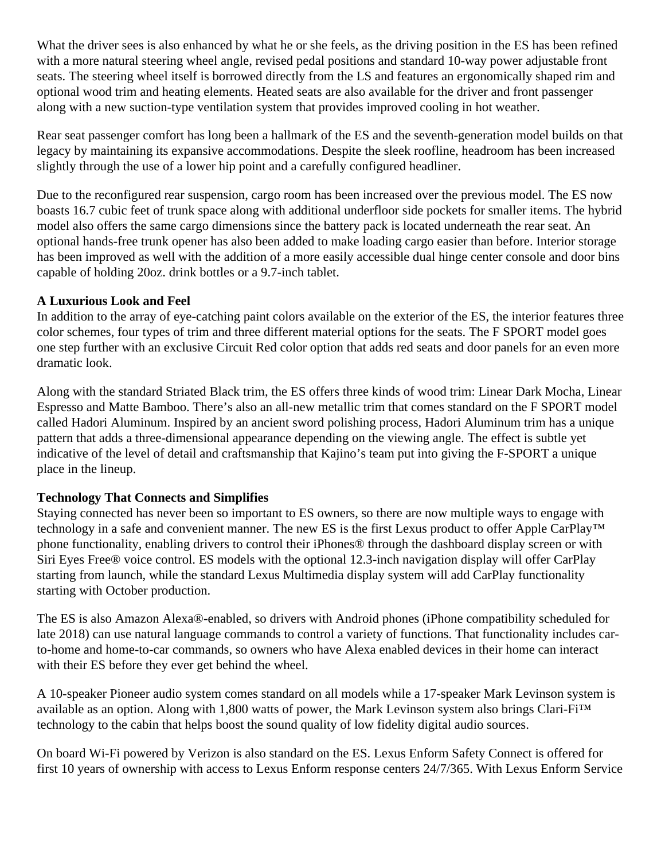What the driver sees is also enhanced by what he or she feels, as the driving position in the ES has been refined with a more natural steering wheel angle, revised pedal positions and standard 10-way power adjustable front seats. The steering wheel itself is borrowed directly from the LS and features an ergonomically shaped rim and optional wood trim and heating elements. Heated seats are also available for the driver and front passenger along with a new suction-type ventilation system that provides improved cooling in hot weather.

Rear seat passenger comfort has long been a hallmark of the ES and the seventh-generation model builds on that legacy by maintaining its expansive accommodations. Despite the sleek roofline, headroom has been increased slightly through the use of a lower hip point and a carefully configured headliner.

Due to the reconfigured rear suspension, cargo room has been increased over the previous model. The ES now boasts 16.7 cubic feet of trunk space along with additional underfloor side pockets for smaller items. The hybrid model also offers the same cargo dimensions since the battery pack is located underneath the rear seat. An optional hands-free trunk opener has also been added to make loading cargo easier than before. Interior storage has been improved as well with the addition of a more easily accessible dual hinge center console and door bins capable of holding 20oz. drink bottles or a 9.7-inch tablet.

## **A Luxurious Look and Feel**

In addition to the array of eye-catching paint colors available on the exterior of the ES, the interior features three color schemes, four types of trim and three different material options for the seats. The F SPORT model goes one step further with an exclusive Circuit Red color option that adds red seats and door panels for an even more dramatic look.

Along with the standard Striated Black trim, the ES offers three kinds of wood trim: Linear Dark Mocha, Linear Espresso and Matte Bamboo. There's also an all-new metallic trim that comes standard on the F SPORT model called Hadori Aluminum. Inspired by an ancient sword polishing process, Hadori Aluminum trim has a unique pattern that adds a three-dimensional appearance depending on the viewing angle. The effect is subtle yet indicative of the level of detail and craftsmanship that Kajino's team put into giving the F-SPORT a unique place in the lineup.

# **Technology That Connects and Simplifies**

Staying connected has never been so important to ES owners, so there are now multiple ways to engage with technology in a safe and convenient manner. The new ES is the first Lexus product to offer Apple CarPlay™ phone functionality, enabling drivers to control their iPhones® through the dashboard display screen or with Siri Eyes Free® voice control. ES models with the optional 12.3-inch navigation display will offer CarPlay starting from launch, while the standard Lexus Multimedia display system will add CarPlay functionality starting with October production.

The ES is also Amazon Alexa®-enabled, so drivers with Android phones (iPhone compatibility scheduled for late 2018) can use natural language commands to control a variety of functions. That functionality includes carto-home and home-to-car commands, so owners who have Alexa enabled devices in their home can interact with their ES before they ever get behind the wheel.

A 10-speaker Pioneer audio system comes standard on all models while a 17-speaker Mark Levinson system is available as an option. Along with 1,800 watts of power, the Mark Levinson system also brings Clari-Fi™ technology to the cabin that helps boost the sound quality of low fidelity digital audio sources.

On board Wi-Fi powered by Verizon is also standard on the ES. Lexus Enform Safety Connect is offered for first 10 years of ownership with access to Lexus Enform response centers 24/7/365. With Lexus Enform Service